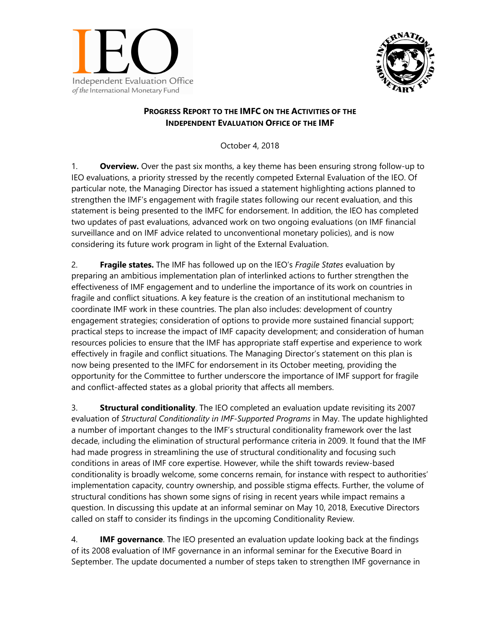



## **PROGRESS REPORT TO THE IMFC ON THE ACTIVITIES OF THE INDEPENDENT EVALUATION OFFICE OF THE IMF**

October 4, 2018

1. **Overview.** Over the past six months, a key theme has been ensuring strong follow-up to IEO evaluations, a priority stressed by the recently competed External Evaluation of the IEO. Of particular note, the Managing Director has issued a statement highlighting actions planned to strengthen the IMF's engagement with fragile states following our recent evaluation, and this statement is being presented to the IMFC for endorsement. In addition, the IEO has completed two updates of past evaluations, advanced work on two ongoing evaluations (on IMF financial surveillance and on IMF advice related to unconventional monetary policies), and is now considering its future work program in light of the External Evaluation.

2. **Fragile states.** The IMF has followed up on the IEO's *Fragile States* evaluation by preparing an ambitious implementation plan of interlinked actions to further strengthen the effectiveness of IMF engagement and to underline the importance of its work on countries in fragile and conflict situations. A key feature is the creation of an institutional mechanism to coordinate IMF work in these countries. The plan also includes: development of country engagement strategies; consideration of options to provide more sustained financial support; practical steps to increase the impact of IMF capacity development; and consideration of human resources policies to ensure that the IMF has appropriate staff expertise and experience to work effectively in fragile and conflict situations. The Managing Director's statement on this plan is now being presented to the IMFC for endorsement in its October meeting, providing the opportunity for the Committee to further underscore the importance of IMF support for fragile and conflict-affected states as a global priority that affects all members.

3. **Structural conditionality**. The IEO completed an evaluation update revisiting its 2007 evaluation of *Structural Conditionality in IMF-Supported Programs* in May. The update highlighted a number of important changes to the IMF's structural conditionality framework over the last decade, including the elimination of structural performance criteria in 2009. It found that the IMF had made progress in streamlining the use of structural conditionality and focusing such conditions in areas of IMF core expertise. However, while the shift towards review-based conditionality is broadly welcome, some concerns remain, for instance with respect to authorities' implementation capacity, country ownership, and possible stigma effects. Further, the volume of structural conditions has shown some signs of rising in recent years while impact remains a question. In discussing this update at an informal seminar on May 10, 2018, Executive Directors called on staff to consider its findings in the upcoming Conditionality Review.

4. **IMF governance**. The IEO presented an evaluation update looking back at the findings of its 2008 evaluation of IMF governance in an informal seminar for the Executive Board in September. The update documented a number of steps taken to strengthen IMF governance in